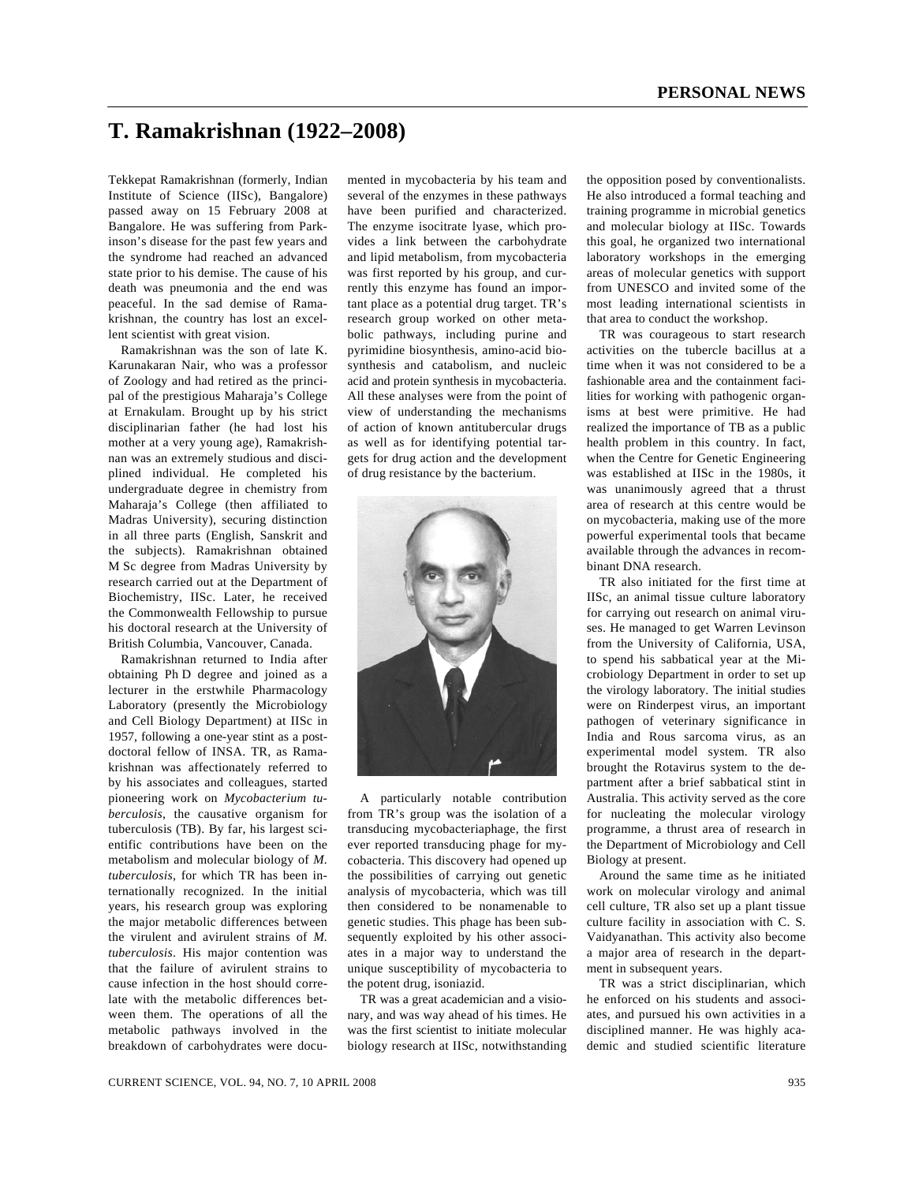## **T. Ramakrishnan (1922–2008)**

Tekkepat Ramakrishnan (formerly, Indian Institute of Science (IISc), Bangalore) passed away on 15 February 2008 at Bangalore. He was suffering from Parkinson's disease for the past few years and the syndrome had reached an advanced state prior to his demise. The cause of his death was pneumonia and the end was peaceful. In the sad demise of Ramakrishnan, the country has lost an excellent scientist with great vision.

 Ramakrishnan was the son of late K. Karunakaran Nair, who was a professor of Zoology and had retired as the principal of the prestigious Maharaja's College at Ernakulam. Brought up by his strict disciplinarian father (he had lost his mother at a very young age), Ramakrishnan was an extremely studious and disciplined individual. He completed his undergraduate degree in chemistry from Maharaja's College (then affiliated to Madras University), securing distinction in all three parts (English, Sanskrit and the subjects). Ramakrishnan obtained M Sc degree from Madras University by research carried out at the Department of Biochemistry, IISc. Later, he received the Commonwealth Fellowship to pursue his doctoral research at the University of British Columbia, Vancouver, Canada.

 Ramakrishnan returned to India after obtaining Ph D degree and joined as a lecturer in the erstwhile Pharmacology Laboratory (presently the Microbiology and Cell Biology Department) at IISc in 1957, following a one-year stint as a postdoctoral fellow of INSA. TR, as Ramakrishnan was affectionately referred to by his associates and colleagues, started pioneering work on *Mycobacterium tuberculosis*, the causative organism for tuberculosis (TB). By far, his largest scientific contributions have been on the metabolism and molecular biology of *M. tuberculosis*, for which TR has been internationally recognized. In the initial years, his research group was exploring the major metabolic differences between the virulent and avirulent strains of *M. tuberculosis*. His major contention was that the failure of avirulent strains to cause infection in the host should correlate with the metabolic differences between them. The operations of all the metabolic pathways involved in the breakdown of carbohydrates were documented in mycobacteria by his team and several of the enzymes in these pathways have been purified and characterized. The enzyme isocitrate lyase, which provides a link between the carbohydrate and lipid metabolism, from mycobacteria was first reported by his group, and currently this enzyme has found an important place as a potential drug target. TR's research group worked on other metabolic pathways, including purine and pyrimidine biosynthesis, amino-acid biosynthesis and catabolism, and nucleic acid and protein synthesis in mycobacteria. All these analyses were from the point of view of understanding the mechanisms of action of known antitubercular drugs as well as for identifying potential targets for drug action and the development of drug resistance by the bacterium.



 A particularly notable contribution from TR's group was the isolation of a transducing mycobacteriaphage, the first ever reported transducing phage for mycobacteria. This discovery had opened up the possibilities of carrying out genetic analysis of mycobacteria, which was till then considered to be nonamenable to genetic studies. This phage has been subsequently exploited by his other associates in a major way to understand the unique susceptibility of mycobacteria to the potent drug, isoniazid.

 TR was a great academician and a visionary, and was way ahead of his times. He was the first scientist to initiate molecular biology research at IISc, notwithstanding

the opposition posed by conventionalists. He also introduced a formal teaching and training programme in microbial genetics and molecular biology at IISc. Towards this goal, he organized two international laboratory workshops in the emerging areas of molecular genetics with support from UNESCO and invited some of the most leading international scientists in that area to conduct the workshop.

 TR was courageous to start research activities on the tubercle bacillus at a time when it was not considered to be a fashionable area and the containment facilities for working with pathogenic organisms at best were primitive. He had realized the importance of TB as a public health problem in this country. In fact, when the Centre for Genetic Engineering was established at IISc in the 1980s, it was unanimously agreed that a thrust area of research at this centre would be on mycobacteria, making use of the more powerful experimental tools that became available through the advances in recombinant DNA research.

 TR also initiated for the first time at IISc, an animal tissue culture laboratory for carrying out research on animal viruses. He managed to get Warren Levinson from the University of California, USA, to spend his sabbatical year at the Microbiology Department in order to set up the virology laboratory. The initial studies were on Rinderpest virus, an important pathogen of veterinary significance in India and Rous sarcoma virus, as an experimental model system. TR also brought the Rotavirus system to the department after a brief sabbatical stint in Australia. This activity served as the core for nucleating the molecular virology programme, a thrust area of research in the Department of Microbiology and Cell Biology at present.

 Around the same time as he initiated work on molecular virology and animal cell culture, TR also set up a plant tissue culture facility in association with C. S. Vaidyanathan. This activity also become a major area of research in the department in subsequent years.

 TR was a strict disciplinarian, which he enforced on his students and associates, and pursued his own activities in a disciplined manner. He was highly academic and studied scientific literature